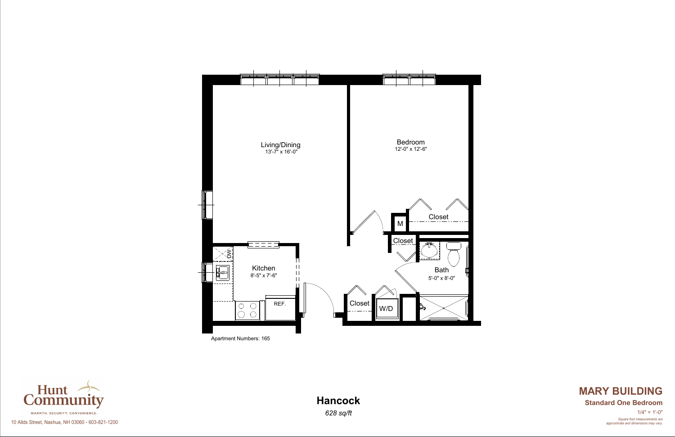





*Square foot measurements are approximate and dimensions may vary.*  $1/4" = 1'-0"$ 

# **MARY BUILDING Hancock Standard One Bedroom**

10 Allds Street, Nashua, NH 03060 - 603-821-1200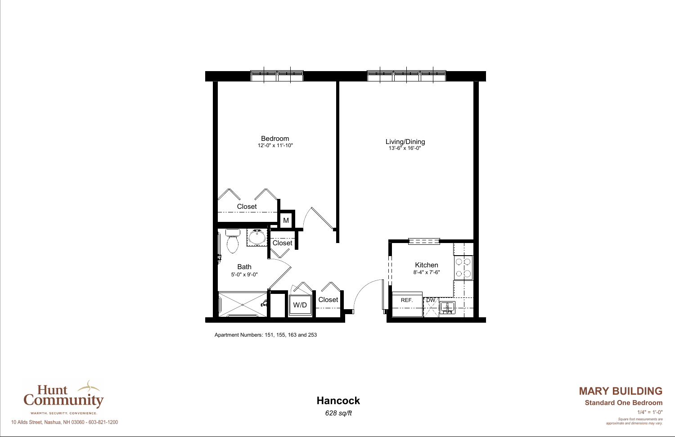Apartment Numbers: 151, 155, 163 and 253





*Square foot measurements are approximate and dimensions may vary.*  $1/4" = 1'-0"$ 

# **MARY BUILDING Hancock Standard One Bedroom**

10 Allds Street, Nashua, NH 03060 - 603-821-1200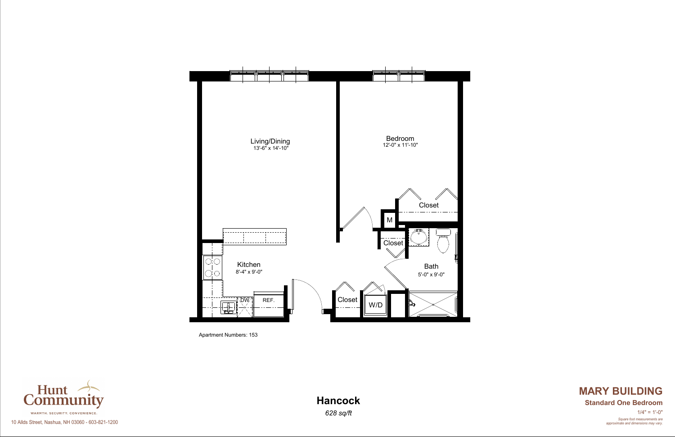

Apartment Numbers: 153



*Square foot measurements are approximate and dimensions may vary.*  $1/4" = 1'-0"$ 

# **MARY BUILDING Hancock Standard One Bedroom**

10 Allds Street, Nashua, NH 03060 - 603-821-1200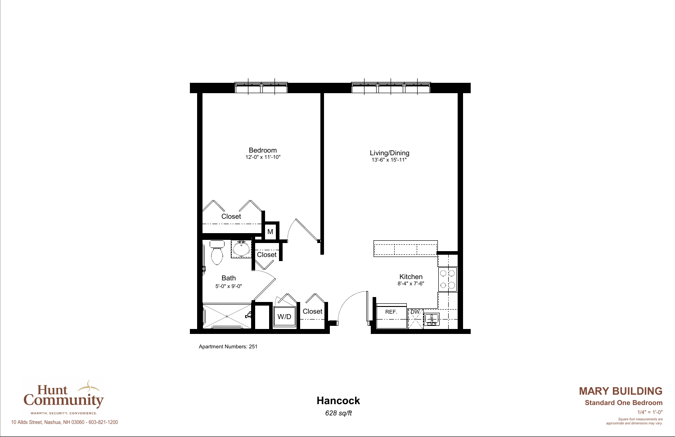Apartment Numbers: 251





*Square foot measurements are approximate and dimensions may vary.*  $1/4" = 1'-0"$ 

# **MARY BUILDING Hancock Standard One Bedroom**

10 Allds Street, Nashua, NH 03060 - 603-821-1200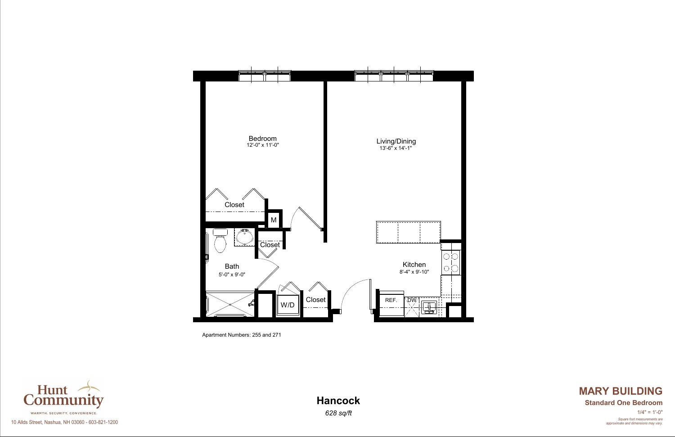Apartment Numbers: 255 and 271





*Square foot measurements are approximate and dimensions may vary.*  $1/4" = 1'-0"$ 

# **MARY BUILDING Hancock Standard One Bedroom**

10 Allds Street, Nashua, NH 03060 - 603-821-1200